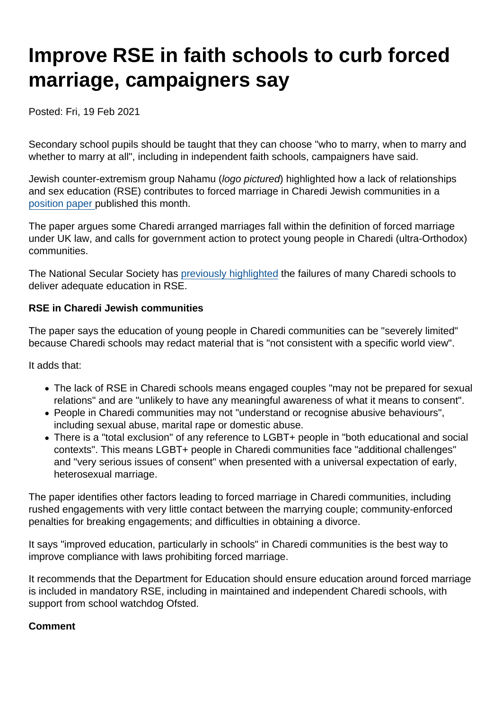# Improve RSE in faith schools to curb forced marriage, campaigners say

Posted: Fri, 19 Feb 2021

Secondary school pupils should be taught that they can choose "who to marry, when to marry and whether to marry at all", including in independent faith schools, campaigners have said.

Jewish counter-extremism group Nahamu (logo pictured) highlighted how a lack of relationships and sex education (RSE) contributes to forced marriage in Charedi Jewish communities in a [position paper p](http://nahamu.org/wp-content/uploads/2021/02/Position-Paper-on-FM-Nahamu-Feb-2021.pdf)ublished this month.

The paper argues some Charedi arranged marriages fall within the definition of forced marriage under UK law, and calls for government action to protect young people in Charedi (ultra-Orthodox) communities.

The National Secular Society has [previously highlighted](https://www.secularism.org.uk/news/tags/Jewish+Orthodox+schools) the failures of many Charedi schools to deliver adequate education in RSE.

RSE in Charedi Jewish communities

The paper says the education of young people in Charedi communities can be "severely limited" because Charedi schools may redact material that is "not consistent with a specific world view".

It adds that:

- The lack of RSE in Charedi schools means engaged couples "may not be prepared for sexual relations" and are "unlikely to have any meaningful awareness of what it means to consent".
- People in Charedi communities may not "understand or recognise abusive behaviours", including sexual abuse, marital rape or domestic abuse.
- There is a "total exclusion" of any reference to LGBT+ people in "both educational and social contexts". This means LGBT+ people in Charedi communities face "additional challenges" and "very serious issues of consent" when presented with a universal expectation of early, heterosexual marriage.

The paper identifies other factors leading to forced marriage in Charedi communities, including rushed engagements with very little contact between the marrying couple; community-enforced penalties for breaking engagements; and difficulties in obtaining a divorce.

It says "improved education, particularly in schools" in Charedi communities is the best way to improve compliance with laws prohibiting forced marriage.

It recommends that the Department for Education should ensure education around forced marriage is included in mandatory RSE, including in maintained and independent Charedi schools, with support from school watchdog Ofsted.

Comment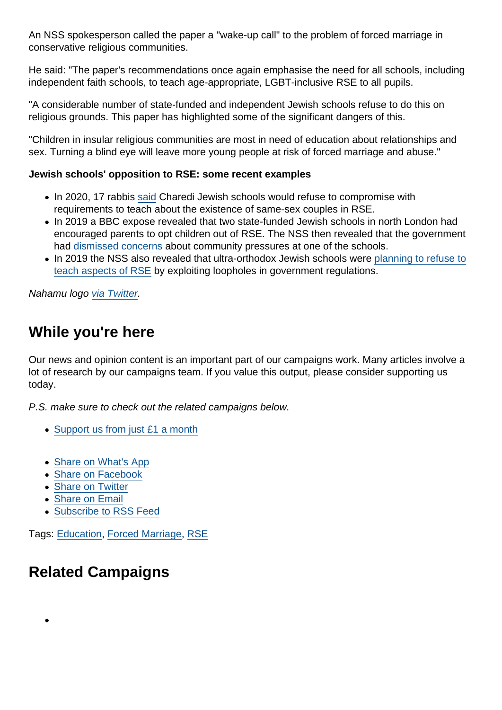An NSS spokesperson called the paper a "wake-up call" to the problem of forced marriage in conservative religious communities.

He said: "The paper's recommendations once again emphasise the need for all schools, including independent faith schools, to teach age-appropriate, LGBT-inclusive RSE to all pupils.

"A considerable number of state-funded and independent Jewish schools refuse to do this on religious grounds. This paper has highlighted some of the significant dangers of this.

"Children in insular religious communities are most in need of education about relationships and sex. Turning a blind eye will leave more young people at risk of forced marriage and abuse."

Jewish schools' opposition to RSE: some recent examples

- In 2020, 17 rabbis [said](https://www.secularism.org.uk/news/2020/05/schools-wont-compromise-on-relationships-education-rabbis-tell-pm) Charedi Jewish schools would refuse to compromise with requirements to teach about the existence of same-sex couples in RSE.
- In 2019 a BBC expose revealed that two state-funded Jewish schools in north London had encouraged parents to opt children out of RSE. The NSS then revealed that the government had [dismissed concerns](https://www.secularism.org.uk/news/2020/01/government-dismissed-concerns-about-jewish-school-in-sex-ed-scandal) about community pressures at one of the schools.
- In 2019 the NSS also revealed that ultra-orthodox Jewish schools were [planning to refuse to](https://www.secularism.org.uk/news/2019/06/exposed-orthodox-jewish-schools-plan-to-escape-lgbt-inclusive-rse) [teach aspects of RSE](https://www.secularism.org.uk/news/2019/06/exposed-orthodox-jewish-schools-plan-to-escape-lgbt-inclusive-rse) by exploiting loopholes in government regulations.

Nahamu logo [via Twitter](https://twitter.com/PNahamu/).

## While you're here

Our news and opinion content is an important part of our campaigns work. Many articles involve a lot of research by our campaigns team. If you value this output, please consider supporting us today.

P.S. make sure to check out the related campaigns below.

- [Support us from just £1 a month](https://www.secularism.org.uk/donate.html)
- [Share on What's App](whatsapp://send?text=http://www.secularism.org.uk/news/2021/02/improve-rse-in-faith-schools-to-curb-forced-marriage-campaigners-say?format=pdf)
- [Share on Facebook](https://www.facebook.com/sharer/sharer.php?u=http://www.secularism.org.uk/news/2021/02/improve-rse-in-faith-schools-to-curb-forced-marriage-campaigners-say?format=pdf&t=Improve+RSE+in+faith+schools+to+curb+forced+marriage,+campaigners+say)
- [Share on Twitter](https://twitter.com/intent/tweet?url=http://www.secularism.org.uk/news/2021/02/improve-rse-in-faith-schools-to-curb-forced-marriage-campaigners-say?format=pdf&text=Improve+RSE+in+faith+schools+to+curb+forced+marriage,+campaigners+say&via=NatSecSoc)
- [Share on Email](https://www.secularism.org.uk/share.html?url=http://www.secularism.org.uk/news/2021/02/improve-rse-in-faith-schools-to-curb-forced-marriage-campaigners-say?format=pdf&title=Improve+RSE+in+faith+schools+to+curb+forced+marriage,+campaigners+say)
- [Subscribe to RSS Feed](/mnt/web-data/www/cp-nss/feeds/rss/news)

Tags: [Education,](https://www.secularism.org.uk/news/tags/Education) [Forced Marriage](https://www.secularism.org.uk/news/tags/Forced+Marriage), [RSE](https://www.secularism.org.uk/news/tags/RSE)

## Related Campaigns